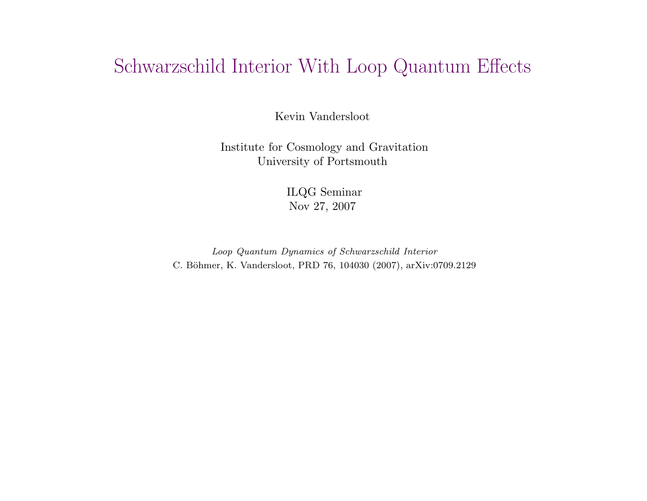# Schwarzschild Interior With Loop Quantum Effects

Kevin Vandersloot

Institute for Cosmology and Gravitation University of Portsmouth

> ILQG Seminar Nov 27, 2007

Loop Quantum Dynamics of Schwarzschild Interior C. Böhmer, K. Vandersloot, PRD 76, 104030 (2007), arXiv:0709.2129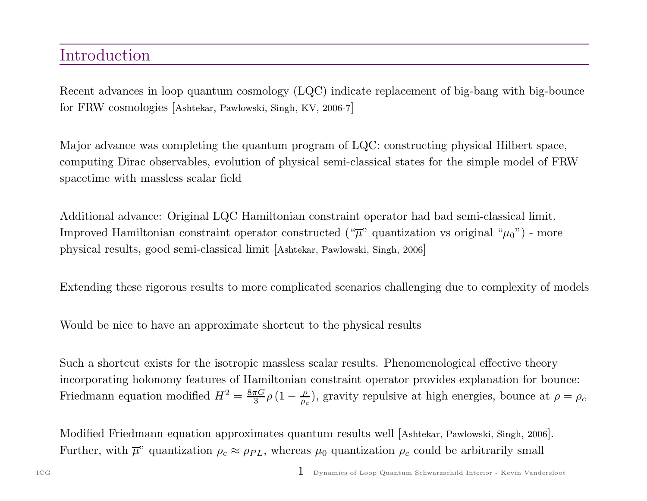## Introduction

Recent advances in loop quantum cosmology (LQC) indicate replacement of big-bang with big-bounce for FRW cosmologies [Ashtekar, Pawlowski, Singh, KV, 2006-7]

Major advance was completing the quantum program of LQC: constructing <sup>p</sup>hysical Hilbert space, computing Dirac observables, evolution of <sup>p</sup>hysical semi-classical states for the simple model of FRW spacetime with massless scalar field

Additional advance: Original LQC Hamiltonian constraint operator had bad semi-classical limit. Improved Hamiltonian constraint operator constructed (" $\overline{\mu}$ " quantization vs original " $\mu_0$ ") - more <sup>p</sup>hysical results, good semi-classical limit [Ashtekar, Pawlowski, Singh, <sup>2006</sup>]

Extending these rigorous results to more complicated scenarios challenging due to complexity of models

Would be nice to have an approximate shortcut to the physical results

Such <sup>a</sup> shortcut exists for the isotropic massless scalar results. Phenomenological effective theory incorporating holonomy features of Hamiltonian constraint operator provides explanation for bounce: Friedmann equation modified  $H^2 = \frac{8\pi G}{3} \rho (1 - \frac{\rho}{\rho_c})$ , gravity repulsive at high energies, bounce at  $\rho = \rho_c$ 

Modified Friedmann equation approximates quantum results well [Ashtekar, Pawlowski, Singh, <sup>2006</sup>]. Further, with  $\overline{\mu}$ " quantization  $\rho_c \approx \rho_{PL}$ , whereas  $\mu_0$  quantization  $\rho_c$  could be arbitrarily small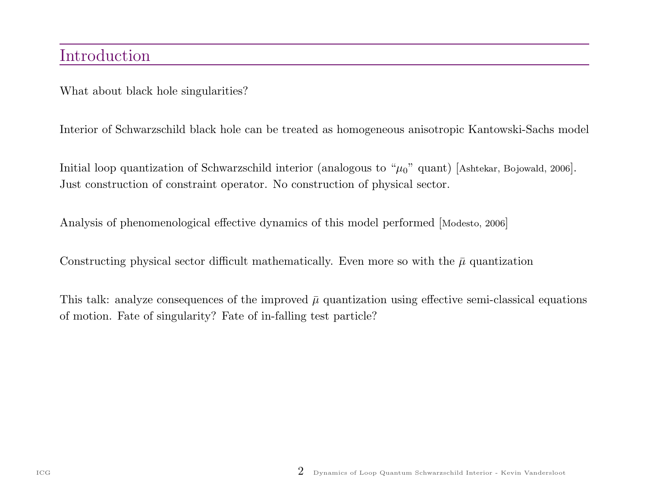What about black hole singularities?

Interior of Schwarzschild black hole can be treated as homogeneous anisotropic Kantowski-Sachs model

Initial loop quantization of Schwarzschild interior (analogous to " $\mu_0$ " quant) [Ashtekar, Bojowald, 2006]. Just construction of constraint operator. No construction of <sup>p</sup>hysical sector.

Analysis of <sup>p</sup>henomenological effective dynamics of this model performed [Modesto, <sup>2006</sup>]

Constructing physical sector difficult mathematically. Even more so with the  $\bar{\mu}$  quantization

This talk: analyze consequences of the improved  $\bar{\mu}$  quantization using effective semi-classical equations of motion. Fate of singularity? Fate of in-falling test particle?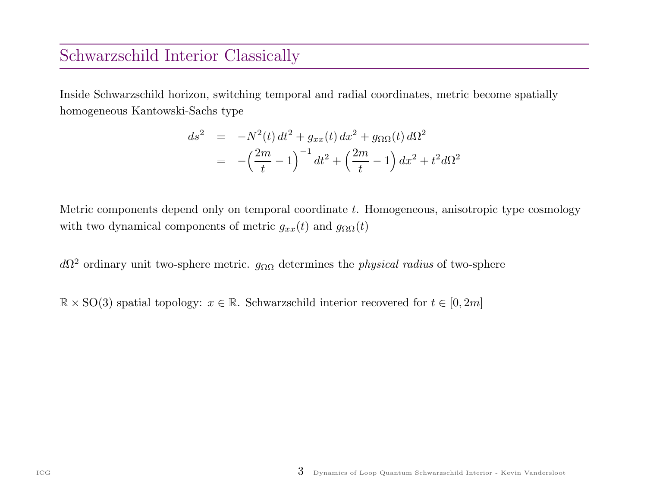### Schwarzschild Interior Classically

Inside Schwarzschild horizon, switching temporal and radial coordinates, metric become spatially homogeneous Kantowski-Sachs type

$$
ds^{2} = -N^{2}(t) dt^{2} + g_{xx}(t) dx^{2} + g_{\Omega\Omega}(t) d\Omega^{2}
$$
  
= 
$$
-\left(\frac{2m}{t} - 1\right)^{-1} dt^{2} + \left(\frac{2m}{t} - 1\right) dx^{2} + t^{2} d\Omega^{2}
$$

Metric components depend only on temporal coordinate t. Homogeneous, anisotropic type cosmology with two dynamical components of metric  $g_{xx}(t)$  and  $g_{\Omega\Omega}(t)$ 

 $d\Omega^2$  ordinary unit two-sphere metric.  $g_{\Omega\Omega}$  determines the *physical radius* of two-sphere

 $\mathbb{R} \times$  SO(3) spatial topology:  $x \in \mathbb{R}$ . Schwarzschild interior recovered for  $t \in [0, 2m]$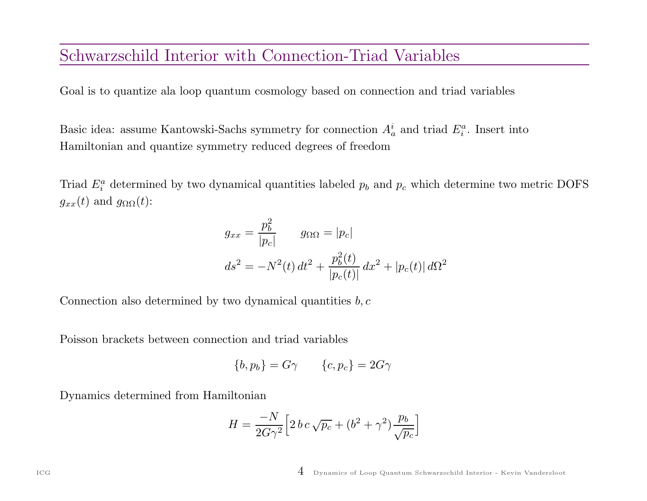#### Schwarzschild Interior with Connection-Triad Variables

Goal is to quantize ala loop quantum cosmology based on connection and triad variables

Basic idea: assume Kantowski-Sachs symmetry for connection  $A_a^i$  and triad  $E_i^a$ . Insert into Hamiltonian and quantize symmetry reduced degrees of freedom

Triad  $E_i^a$  determined by two dynamical quantities labeled  $p_b$  and  $p_c$  which determine two metric DOFS  $g_{xx}(t)$  and  $g_{\Omega\Omega}(t)$ :

$$
g_{xx} = \frac{p_b^2}{|p_c|} \qquad g_{\Omega \Omega} = |p_c|
$$

$$
ds^2 = -N^2(t) dt^2 + \frac{p_b^2(t)}{|p_c(t)|} dx^2 + |p_c(t)| d\Omega^2
$$

Connection also determined by two dynamical quantities  $b, c$ 

Poisson brackets between connection and triad variables

$$
\{b, p_b\} = G\gamma \qquad \{c, p_c\} = 2G\gamma
$$

Dynamics determined from Hamiltonian

$$
H = \frac{-N}{2G\gamma^2} \Big[ 2 b c \sqrt{p_c} + (b^2 + \gamma^2) \frac{p_b}{\sqrt{p_c}} \Big]
$$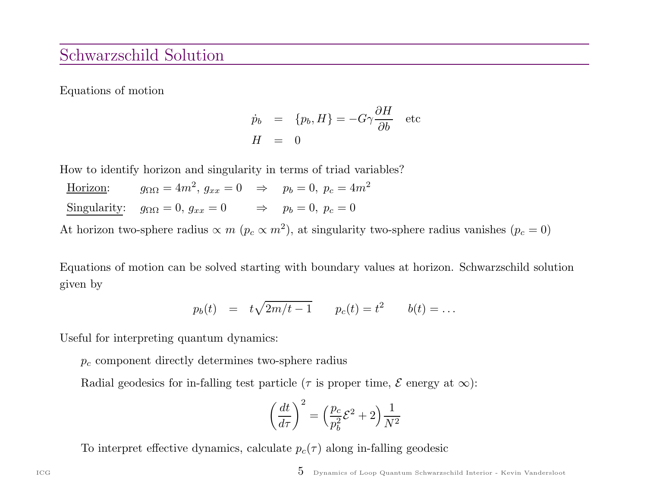#### Schwarzschild Solution

Equations of motion

$$
\dot{p}_b = \{p_b, H\} = -G\gamma \frac{\partial H}{\partial b} \text{ etc}
$$
  

$$
H = 0
$$

How to identify horizon and singularity in terms of triad variables?

| Horizon: | $g_{\Omega\Omega}=4m^2,\, g_{xx}=0 \quad \Rightarrow \quad p_b=0,\ p_c=4m^2$ |                                  |
|----------|------------------------------------------------------------------------------|----------------------------------|
|          | Singularity: $g_{\Omega\Omega} = 0, g_{xx} = 0$                              | $\Rightarrow$ $p_b = 0, p_c = 0$ |

At horizon two-sphere radius  $\propto m$  ( $p_c \propto m^2$ ), at singularity two-sphere radius vanishes ( $p_c = 0$ )

Equations of motion can be solved starting with boundary values at horizon. Schwarzschild solution given by

$$
p_b(t) = t\sqrt{2m/t - 1}
$$
  $p_c(t) = t^2$   $b(t) = ...$ 

Useful for interpreting quantum dynamics:

 $p_c$  component directly determines two-sphere radius

Radial geodesics for in-falling test particle ( $\tau$  is proper time,  $\mathcal E$  energy at  $\infty$ ):

$$
\left(\frac{dt}{d\tau}\right)^2 = \left(\frac{p_c}{p_b^2}\mathcal{E}^2 + 2\right)\frac{1}{N^2}
$$

To interpret effective dynamics, calculate  $p_c(\tau)$  along in-falling geodesic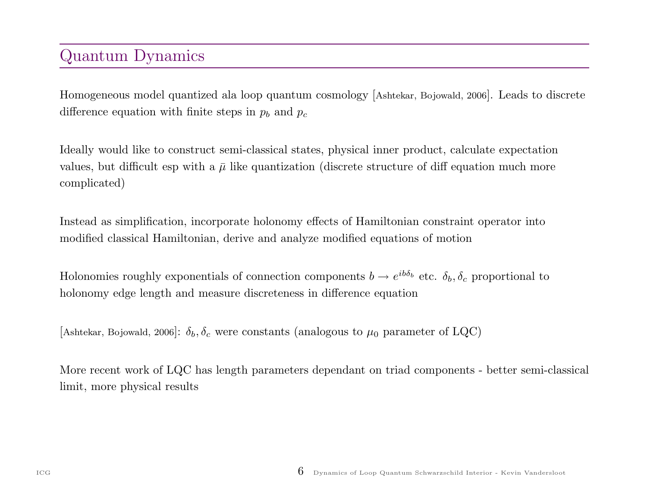## Quantum Dynamics

Homogeneous model quantized ala loop quantum cosmology [Ashtekar, Bojowald, <sup>2006</sup>]. Leads to discrete difference equation with finite steps in  $p_b$  and  $p_c$ 

Ideally would like to construct semi-classical states, physical inner product, calculate expectation values, but difficult esp with a  $\bar{\mu}$  like quantization (discrete structure of diff equation much more complicated)

Instead as simplification, incorporate holonomy effects of Hamiltonian constraint operator into modified classical Hamiltonian, derive and analyze modified equations of motion

Holonomies roughly exponentials of connection components  $b \to e^{ib\delta_b}$  etc.  $\delta_b, \delta_c$  proportional to holonomy edge length and measure discreteness in difference equation

[Ashtekar, Bojowald, 2006]:  $\delta_b$ ,  $\delta_c$  were constants (analogous to  $\mu_0$  parameter of LQC)

More recent work of LQC has length parameters dependant on triad components - better semi-classical limit, more physical results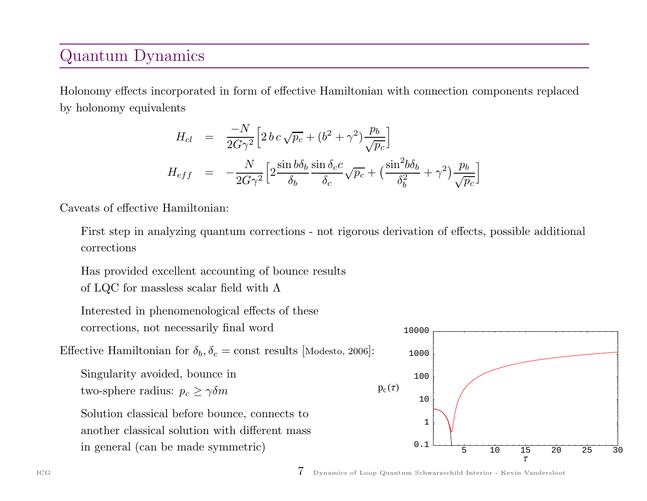## Quantum Dynamics

Holonomy effects incorporated in form of effective Hamiltonian with connection components replaced by holonomy equivalents

$$
H_{cl} = \frac{-N}{2G\gamma^2} \Big[ 2 b c \sqrt{p_c} + (b^2 + \gamma^2) \frac{p_b}{\sqrt{p_c}} \Big]
$$
  

$$
H_{eff} = -\frac{N}{2G\gamma^2} \Big[ 2 \frac{\sin b\delta_b}{\delta_b} \frac{\sin \delta_c c}{\delta_c} \sqrt{p_c} + \Big( \frac{\sin^2 b\delta_b}{\delta_b^2} + \gamma^2 \Big) \frac{p_b}{\sqrt{p_c}} \Big]
$$

Caveats of effective Hamiltonian:

First step in analyzing quantum corrections - not rigorous derivation of effects, possible additional corrections

Has provided excellent accounting of bounce results

of LQC for massless scalar field with  $\Lambda$ 

Interested in <sup>p</sup>henomenological effects of these corrections, not necessarily final word

Effective Hamiltonian for  $\delta_b, \delta_c = \text{const}$  results [Modesto, 2006]:

Singularity avoided, bounce in two-sphere radius:  $p_c \ge \gamma \delta m$ 

Solution classical before bounce, connects to another classical solution with different mass in genera<sup>l</sup> (can be made symmetric)



ICG 7 Dynamics of Loop Quantum Schwarzschild Interior - Kevin Vandersloot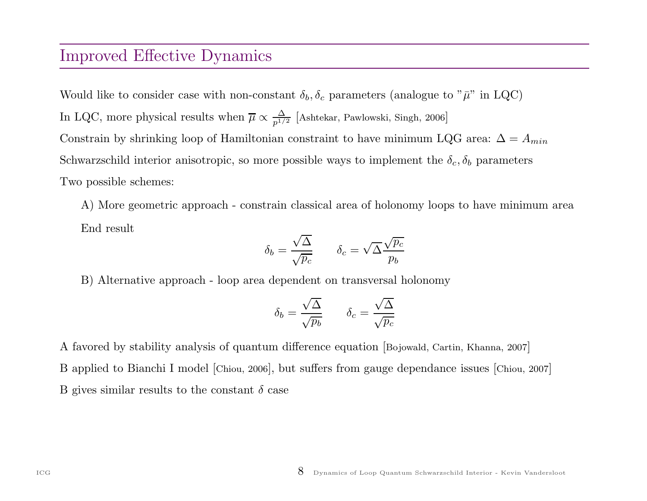#### Improved Effective Dynamics

Would like to consider case with non-constant  $\delta_b, \delta_c$  parameters (analogue to " $\bar{\mu}$ " in LQC) In LQC, more physical results when  $\overline{\mu} \propto \frac{\Delta}{p^{1/2}}$  [Ashtekar, Pawlowski, Singh, 2006] Constrain by shrinking loop of Hamiltonian constraint to have minimum LQG area:  $\Delta = A_{min}$ Schwarzschild interior anisotropic, so more possible ways to implement the  $\delta_c, \delta_b$  parameters Two possible schemes:

A) More geometric approac<sup>h</sup> - constrain classical area of holonomy loops to have minimum area End result

$$
\delta_b = \frac{\sqrt{\Delta}}{\sqrt{p_c}} \qquad \delta_c = \sqrt{\Delta} \frac{\sqrt{p_c}}{p_b}
$$

B) Alternative approac<sup>h</sup> - loop area dependent on transversal holonomy

$$
\delta_b = \frac{\sqrt{\Delta}}{\sqrt{p_b}} \qquad \delta_c = \frac{\sqrt{\Delta}}{\sqrt{p_c}}
$$

A favored by stability analysis of quantum difference equation [Bojowald, Cartin, Khanna, <sup>2007</sup>] <sup>B</sup> applied to Bianchi <sup>I</sup> model [Chiou, <sup>2006</sup>], but suffers from gauge dependance issues [Chiou, <sup>2007</sup>] B gives similar results to the constant  $\delta$  case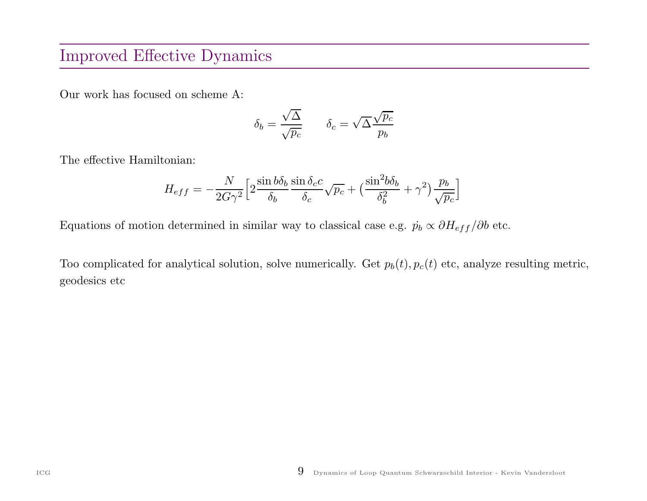### Improved Effective Dynamics

Our work has focused on scheme A:

$$
\delta_b = \frac{\sqrt{\Delta}}{\sqrt{p_c}} \qquad \delta_c = \sqrt{\Delta} \frac{\sqrt{p_c}}{p_b}
$$

The effective Hamiltonian:

$$
H_{eff} = -\frac{N}{2G\gamma^2} \left[ 2\frac{\sin b\delta_b}{\delta_b} \frac{\sin \delta_c c}{\delta_c} \sqrt{p_c} + \left( \frac{\sin^2 b\delta_b}{\delta_b^2} + \gamma^2 \right) \frac{p_b}{\sqrt{p_c}} \right]
$$

Equations of motion determined in similar way to classical case e.g.  $\dot{p}_b \propto \partial H_{eff}/\partial b$  etc.

Too complicated for analytical solution, solve numerically. Get  $p_b(t)$ ,  $p_c(t)$  etc, analyze resulting metric, geodesics etc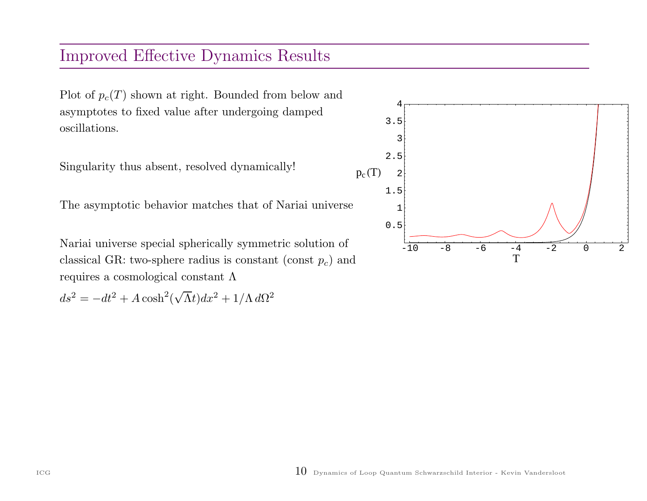## Improved Effective Dynamics Results

Plot of  $p_c(T)$  shown at right. Bounded from below and asymptotes to fixed value after undergoing damped oscillations.

Singularity thus absent, resolved dynamically!

The asymptotic behavior matches that of Nariai universe

Nariai universe special spherically symmetric solution of classical GR: two-sphere radius is constant (const  $p_c$ ) and requires <sup>a</sup> cosmological constant Λ

 $ds^2 = -dt^2 + A \cosh^2(\sqrt{\Lambda}t)dx^2 + 1/\Lambda d\Omega^2$ 

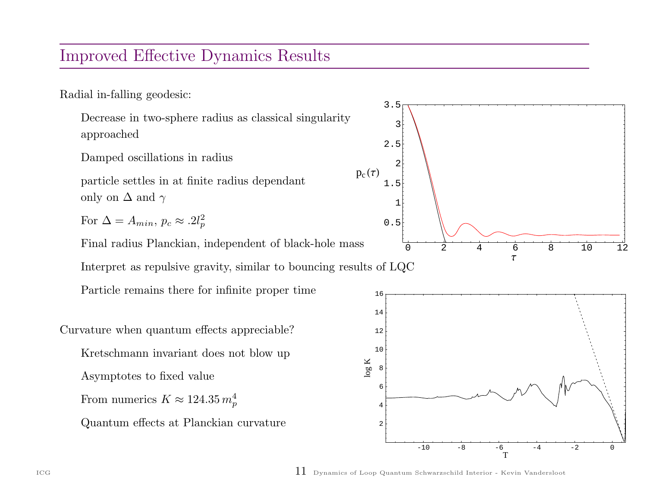#### Improved Effective Dynamics Results

Radial in-falling geodesic:

Decrease in two-sphere radius as classical singularity approached

Damped oscillations in radius

particle settles in at finite radius dependant only on  $\Delta$  and  $\gamma$ 

For  $\Delta = A_{min}, p_c \approx .2l_n^2$ p

Final radius Planckian, independent of black-hole mass

Interpret as repulsive gravity, similar to bouncing results of LQC

Particle remains there for infinite proper time

Curvature when quantum effects appreciable? Kretschmann invariant does not blow up Asymptotes to fixed value From numerics  $K \approx 124.35\,m_\pi^4$ p Quantum effects at Planckian curvature





ICG  $11$  Dynamics of Loop Quantum Schwarzschild Interior - Kevin Vandersloot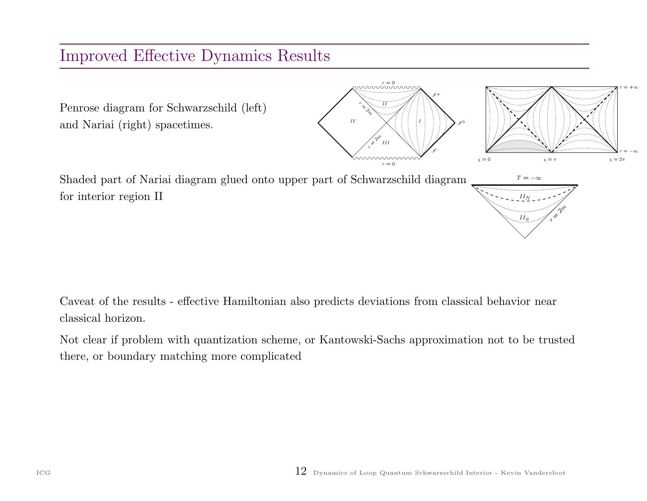## Improved Effective Dynamics Results



Caveat of the results - effective Hamiltonian also predicts deviations from classical behavior near classical horizon.

Not clear if problem with quantization scheme, or Kantowski-Sachs approximation not to be trusted there, or boundary matching more complicated